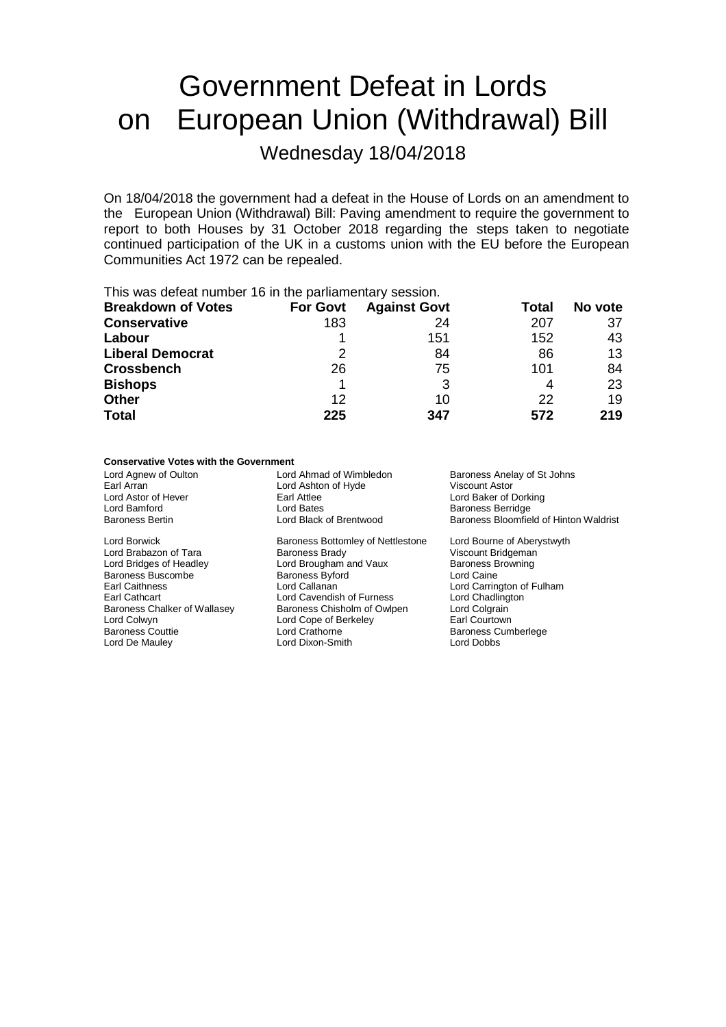# Government Defeat in Lords on European Union (Withdrawal) Bill

Wednesday 18/04/2018

On 18/04/2018 the government had a defeat in the House of Lords on an amendment to the European Union (Withdrawal) Bill: Paving amendment to require the government to report to both Houses by 31 October 2018 regarding the steps taken to negotiate continued participation of the UK in a customs union with the EU before the European Communities Act 1972 can be repealed.

This was defeat number 16 in the parliamentary session.

| <b>Breakdown of Votes</b> | <b>For Govt</b> | <b>Against Govt</b> | Total | No vote |
|---------------------------|-----------------|---------------------|-------|---------|
| <b>Conservative</b>       | 183             | 24                  | 207   | 37      |
| Labour                    |                 | 151                 | 152   | 43      |
| <b>Liberal Democrat</b>   | 2               | 84                  | 86    | 13      |
| <b>Crossbench</b>         | 26              | 75                  | 101   | 84      |
| <b>Bishops</b>            |                 |                     | 4     | 23      |
| <b>Other</b>              | 12              | 10                  | 22    | 19      |
| <b>Total</b>              | 225             | 347                 | 572   | 219     |

#### **Conservative Votes with the Government**

Lord Borwick **Baroness Bottomley of Nettlestone** Lord Bourne of Aberystwyth<br>
Lord Brabazon of Tara **Baroness Brady** Viscount Bridgeman Lord Brabazon of Tara Baroness Buscombe Baroness Byford Baroness Byford Callanan<br>
Earl Caithness Byford Callanan Lord Colwyn Lord Cope of Berkeley<br>
Baroness Couttie Lord Crathorne

Lord Ashton of Hyde<br>Earl Attlee Lord Astor of Hever **Earl Attlee** Earl Attlee **Earl Attlee** Lord Baker of Dorking<br>
Lord Bammord **Earl Attlee** Lord Bates<br>
Lord Bammord **Earl Attlee** Early Baroness Berridge Lord Bamford **Communist Communist Communist Communist Communist Communist Communist Communist Communist Communist Communist Communist Communist Communist Communist Communist Communist Communist Communist Communist Communis** 

Lord Bridges of Headley **Lord Brougham and Vaux** Baroness Browning<br>
Baroness Buscombe Baroness Byford **Baroness Browning**<br>
Lord Caine Earl Caithness **Lord Callanan** Lord Callanan Lord Carrington of Fulham<br>
Earl Cathcart **Lord Carrington Carrington Carrington** Lord Chadlington Earl Cathcart **Cathcart** Lord Cavendish of Furness Chart Lord Chadling<br>Baroness Chalker of Wallasey Baroness Chisholm of Owlpen Lord Colgrain Baroness Chalker of Wallasey Baroness Chisholm of Owlpen Lord Colgrain<br>
Lord Colwyn Courtown Lord Cope of Berkeley Carl Courtown Lord De Mauley Lord Dixon-Smith Lord Dobbs

Lord Agnew of Oulton **Lord Ahmad of Wimbledon** Baroness Anelay of St Johns<br>
Earl Arran **Baroness Anelay of St Johns**<br>
Lord Ashton of Hyde **Baroness Anelay of St Johns** Baroness Bloomfield of Hinton Waldrist

Baroness Cumberlege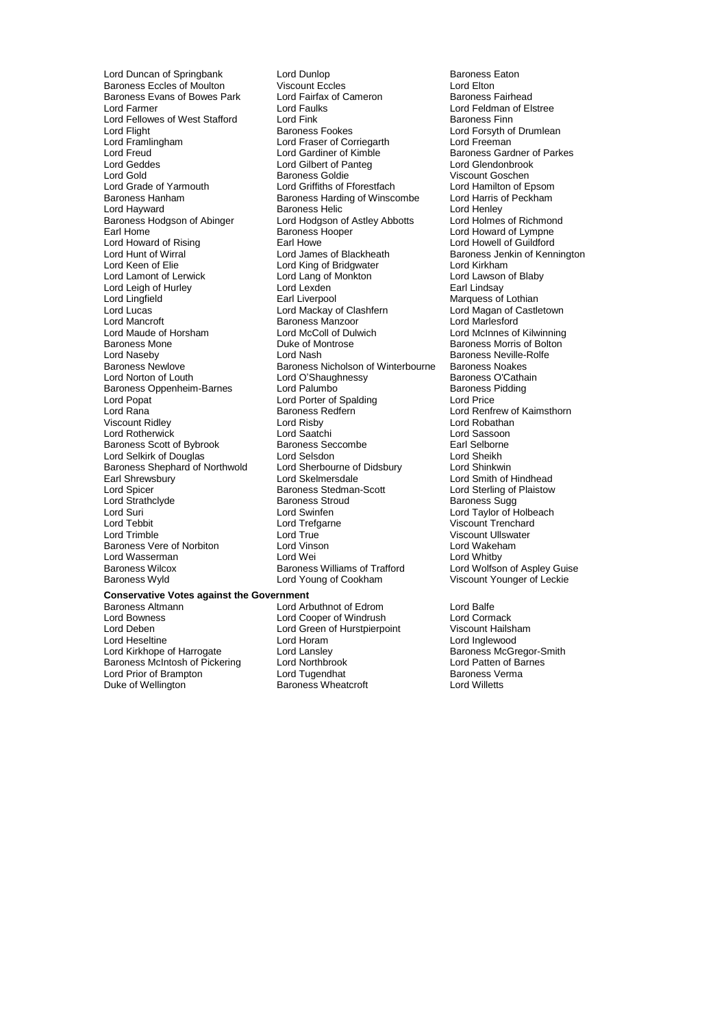Baroness Evans of Bowes Park Lord Fairfax<br>Lord Farmer Baroness Fairhead Lord Fellowes of West Stafford Lord Fink<br>Lord Flight Baroness Fookes Lord Framlingham Lord Fraser of Corriegarth<br>
Lord Freud<br>
Lord Gardiner of Kimble Lord Geddes **Lord Gilbert of Panteg Lord Gilbert of Panteg Lord Gilbert of Panteg Lord Gilbert** Baroness Hodgson of Abinger Lord Hodgson of Astley Abbotts<br>
Earl Home<br>
Baroness Hooper Lord Leigh of Hurley **Lord Lexden**<br>
Lord Lingfield **Lord Liverpool** Lord Mancroft **Baroness Manzoor**<br>
Lord Maude of Horsham **Baroness Manzoor** Lord Popat in the Lord Porter of Spalding<br>Lord Rana in the Baroness Redfern Baroness Shephard of Northwold Lord Sherbourne of Earl Shrewsbury Lord Skelmersdale Lord Wasserman Lord Wei<br>
Baroness Wilcox Baroness Williams of Trafford

Lord Duncan of Springbank Lord Dunlop Cord Baroness Eaton<br>
Baroness Eccles of Moulton Viscount Eccles Cord Elton Lord Elton Baroness Eccles of Moulton Viscount Eccles (Commercial Lord Elton Lord Elton Arian Commercial Viscount Eccles<br>
Lord Faroness Evans of Bowes Park (Commercial Commercial Commercial Commercial Commercial Commercial Commerci Lord Faulks **Lord Faulks**<br>
Lord Fink **Lord Finn**<br>
Baroness Finn Lord Flight **Example 2 Example Baroness Fookes** Lord Example Lord Forsyth of Drumlean<br>
Lord Framlingham
Lord Example Lord Freeman
Lord Freeman
Lord Fraser of Corriegarth
Lord Freeman
Lord Fraser of Corriegarth
Lord Freeman Lord Freud Theorem 2001 Lord Gardiner of Kimble **Baroness Gardner of Parkes**<br>
Lord Geddes **Archaeology Lord Gilbert of Panteg** Lord Glendonbrook Lord Gold Baroness Goldie Niscount Goschen<br>
Lord Grade of Yarmouth Lord Griffiths of Fforestfach Lord Hamilton of Epsom Lord Grade of Yarmouth Lord Griffiths of Fforestfach Lord Grade of Yarmouth Lord Griffiths of Fforestfach Lord Hamilton of Epsom<br>Baroness Hannam Baroness Harding of Winscombe Lord Harris of Peckham Baroness Hanham Baroness Harding of Winscombe Lord Harris c<br>Lord Hayward Baroness Helic Cord Henley Lord Hayward **Baroness Helic** Teach Cord Henley<br>
Baroness Hodgson of Abinger Lord Hodgson of Astley Abbotts Lord Holmes of Richmond Earl Home The Baroness Hooper Earl Howard of Lympne<br>
Lord Howard of Rising The Earl Howe Earl Howe Lord Howell of Guildford Lord Howard of Rising **Earl Howe Earl Howe Lord Howell of Guildford**<br>
Lord Hunt of Wirral **No. 2008** Lord James of Blackheath **Example System** Baroness Jenkin of Kenr Lord Hunt of Wirral **Lord Lord James of Blackheath** Baroness Jenkin of Kennington<br>
Lord Kennington<br>
Lord Kennington **Bridges**<br>
Lord Kennington Lord Keen of Elie **Lord King of Bridgwater** Cord Kirkham<br>
Lord Lamont of Lerwick **Lord Lang of Monkton** Lord Lawson of Blaby Lord Lang of Monkton Lord Lawson Lord Lawson Cord Lawson Cord Lawson Cord Lawson Cord Lawson Cord Lawson Cord Lawson Cord Lawson Cord Lawson Cord Lawson Cord Lawson Cord Lawson Cord Lawson Cord Lawson Cord Lawson Cord Laws Earl Liverpool<br>
Lord Mackay of Clashfern<br>
Lord Magan of Castle Lord Lucas Lord Mackay of Clashfern Lord Magan of Castletown Lord Maude of Horsham Lord McColl of Dulwich Lord McInnes of Kilwinning Baroness Mone<br>
Baroness Mone **Duke of Montrose** Baroness Morris of Bolton<br>
Lord Nasebv Lord Nash **Baroness Neville-Rolfe** Lord Naseby **Lord Nash** Baroness Neville-Rolfe<br>
Baroness Newlove Baroness Nicholson of Winterbourne Baroness Noakes Baroness Newlove **Baroness Newlove** Baroness Nicholson of Winterbourne Baroness Noakes<br>
Lord O'Shaughnessy Baroness O'Cathain Lord O'Shaughnessy Baroness O'Cathain Lord Palumbo<br>
Lord Palumbo<br>
Baroness Pidding Baroness Oppenheim-Barnes Lord Palumbo<br>
Lord Porter of Spalding<br>
Lord Porter of Spalding<br>
Lord Price Lord Rana Baroness Redfern **Constanting Lord Renfrew of Kaimsthorn**<br>
Viscount Ridley **Raname Constanting Constanting Constanting Constanting Constanting Constanting Constanting Const** Lord Risby **Lord Robathan**<br>
Lord Saatchi **Lord Sassoon** Lord Rotherwick Lord Saatchi Lord Sassoon Baroness Scott of Bybrook Baroness Seccombe<br>
Lord Selsitic Court Selborness Seccombe<br>
Lord Selsitic Lord Selsitic Lord Selsitic Lord Sheikh Lord Selkirk of Douglas Lord Selsdon Lord Sheikh<br>
Baroness Shephard of Northwold Lord Sherbourne of Didsbury Lord Shinkwin Earl Shrewsbury **Lord Skelmersdale** Lord Schrewsbury **Lord Skelmersdale** Lord Schrewsbury **Lord Skelmers Contract Lord Schrewsbury** Lord Spicer **Lord Skelmers Contract Lord Skelmers** Lord Sterling of Plaistow Lord Spicer **Contains Communist Contains Stedman-Scott** Lord Sterling of Plaistow<br>
Lord Strathclyde **Contains Communist Contains Contains Contains Contains Contains Contains Contains Contains Contains Contains Contains Con** Lord Strathclyde Baroness Stroud Baroness Sugg Lord Suri Lord Swinfen Lord Taylor of Holbeach Lord Tebbit Lord Tefgarne Communication Correspondence Correspondence Correspondence Correspondence Correspondence Correspondence Correspondence Correspondence Correspondence Correspondence Correspondence Correspondence Co Lord True **Communist Communist Communist Communist Communist Communist Communist Communist Communist Communist Communist Communist Communist Communist Communist Communist Communist Communist Communist Communist Communist C** Baroness Vere of Norbiton Lord Vinson Lord Wakeham Baroness Wilcox **Baroness Williams of Trafford** Lord Wolfson of Aspley Guise<br>Baroness Wyld Lord Young of Cookham Viscount Younger of Leckie Lord Young of Cookham

## **Conservative Votes against the Government**

Lord Deben **Lord Green of Hurstpierpoint** Viscount Hailsham<br>
Lord Heseltine **Lord Lord Horam** Lord Horam Lord Inglewood Lord Kirkhope of Harrogate Lord Lansley Corpor-State Baroness McGregor-S<br>
Baroness McIntosh of Pickering Lord Northbrook Lord Patten of Barnes Baroness McIntosh of Pickering Lord Northbrook Lord Patten of Baroness McIntosh of Pickering Lord Northbrook Lord Transman Lord Patten of Barness Verma Lord Prior of Brampton Lord Tugendhat Lord Tugendhat Baroness Ve<br>
Duke of Wellington Baroness Wheatcroft Lord Willetts

Baroness Altmann **Exercise Set Arror Containers Alternative Containers** Lord Balfe<br>
Lord Bowness **Containers Lord Corporant Containers** Lord Corporant Lord Corporant Lord Corporant Lord Corporant Lord Cooper of Windrush Lord Horam **Lord Horam Lord Horam Lord Inglewood**<br> **Lord Lansley Communist Communist Communist Communist Communist Communist Communist Communist Communist Communist Communist Communist Communist Communist Communist Communi** Baroness Wheatcroft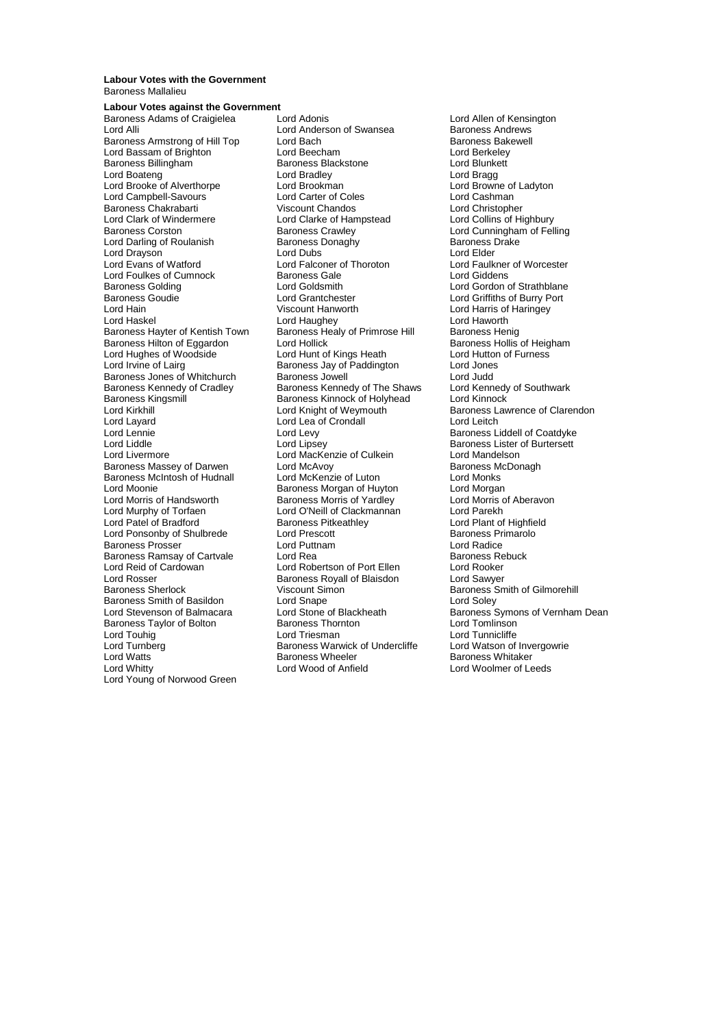#### **Labour Votes with the Government** Baroness Mallalieu

#### **Labour Votes against the Government**<br>Baroness Adams of Craigialaa Lord Adopis

Baroness Adams of Craigielea Lord Adonis Lord Allen of Kensington<br>
Lord Alli Baroness Andrews<br>
Lord Anderson of Swansea Baroness Andrews Baroness Armstrong of Hill Top Lord Bach Bach Baroness Bakewell Baroness Bakewell Baroness Bakewell Baroness Bak<br>
Lord Baroness Armstrong Lord Beecham Baroness Bakewell Baroness Bakewell Baroness Bakewell Baroness Bakewell Lord Bassam of Brighton Lord Beecham Lord Berkeley<br>Baroness Billingham Baroness Blackstone Lord Blunkett Baroness Billingham Baroness Blackstone Lord Blunkett Lord Boateng The Lord Bradley Cord Branch Lord Bragg<br>
Lord Brooke of Alverthorpe Lord Brookman Cord Brookman Lord Browne of Ladyton Lord Brooke of Alverthorpe Lord Brookman Lord Brookness Lord Browne of Lord Browne of Lord Cashman Lord Cashman Lord Campbell-Savours Lord Carter of Coles Lord Cashman Baroness Chakrabarti **Viscount Chandos** Chandos Lord Christopher<br>
Lord Clark of Windermere Lord Clarke of Hampstead Lord Collins of Highbury Lord Clark of Windermere Lord Clarke of Hampstead<br>
Baroness Corston<br>
Baroness Crawley Lord Darling of Roulanish Baroness Donaghy Baroness I Baroness I<br>Lord Drayson Lord Dubs Baroness Donaghy Baroness I Lord Drayson **Lord Dubs**<br>
Lord Evans of Watford **Lord Election** Lord Falconer of Thoroton Lord Foulkes of Cumnock<br>
Baroness Golding<br>
Lord Goldsmith Baroness Golding 

Baroness Goudie 

Lord Gordon Coldsmith

Lord Grantchester

Lord Coldse Coudie

Lord Grantchester

Lord Coldse Coudie

Lord Grantchester

Lord Grantchester

Lord Grantchester Baroness Goudie **Lord Grantchester Lord Grantchester** Lord Griffiths of Burry Port<br>
Lord Haringev<br>
Lord Haringev<br>
Lord Haringev Lord Hain Viscount Hanworth Lord Harris of Haringey Lord Haskel Lord Haughey Lord Haworth Baroness Hayter of Kentish Town Baroness Healy of Primrose Hill Baroness Henig<br>Baroness Hilton of Eggardon Lord Hollick Baroness Hollis of Heigham Baroness Hilton of Eggardon Lord Hollick Baroness Hollis of Heigham Lord Hutton of Furness<br>
Lord Hutton of Furness<br>
Lord Hutton of Furness Lord Hughes of Woodside Lord Hunt of Kings Heath Lord Hutton Lord Hutton Lord Hutton Cord Futton Cord Jones<br>
Lord Irvine of Lairg Baroness Jay of Paddington Lord Jones Baroness Jones of Whitchurch Baroness Jowell Lord Judd<br>
Baroness Kennedy of Cradley Baroness Kennedy of The Shaws Lord Kennedy of Southwark Baroness Kennedy of Cradley Baroness Kennedy of The Shaws Lord Kennedy<br>Baroness Kingsmill Baroness Kinnock of Holyhead Lord Kinnock Baroness Kingsmill Baroness Kinnock of Holyhead<br>
Lord Kirkhill Baroness Kinnock of Holyhead<br>
Lord Knight of Weymouth Lord Kirkhill Lord Kirght of Weymouth Baroness Lawrence of Clarendon<br>
Lord Lawrence of Clarendon<br>
Lord Lea of Crondall
Lord Lord Lea Commence of Clarendon Lord Layard Lord Lea of Crondall<br>
Lord Lennie Lord Levy Lord Liddle Lord Lipsey Lord Lipsey Cord Lines Baroness Lister of Burtersett<br>
Lord Livermore Lord Mackenzie of Culkein Lord Mandelson Baroness Massey of Darwen Lord McAvoy<br>
Baroness McIntosh of Hudnall Lord McKenzie of Luton Lord Monks Baroness McIntosh of Hudnall Lord McKenzie of Luton Lord Monks Lord Moonie **Baroness Morgan of Huyton**<br>Lord Morris of Handsworth **Baroness Morris of Yardley** Lord Morris of Aberavon Lord Murphy of Torfaen Lord O'Neill of Clackn<br>
Lord Patel of Bradford Baroness Pitkeathley Lord Ponsonby of Shulbrede Lord Prescott Lord Baroness Prosent Baroness Property Reserved Lord Radice Baroness Prosser Lord Puttnam Lord Radice Baroness Ramsay of Cartvale Lord Rea Lord Robertson of Port Ellen Baroness Re<br>
Lord Reid of Cardowan Lord Robertson of Port Ellen Lord Rooker Lord Reid of Cardowan Lord Robertson of Port Ellen Lord Rooker Lord Rosser **Baroness Royall of Blaisdon**<br>Baroness Sherlock **Baroness Royall Samuel Samuel Sawyer** Baroness Smith of Basildon<br>
Lord Stevenson of Balmacara<br>
Lord Stone of Blackheath Baroness Taylor of Bolton Baroness Thornton Baroness Thornton Lord Triesman Lord Touhig **Communication Communication**<br>
Lord Turnberg **Communication Communication**<br>
Lord Turnberg **Communication Communication**<br>
Baroness Warwick of Undercliffe Lord Watson of Invergowrie Lord Turnberg Faroness Warwick of Undercliffe<br>
Lord Watts Corpus Baroness Wheeler Lord Watts **Construction Baroness Wheeler** Baroness Wheeler **Baroness Whitaker**<br>
Lord Whitty **Construction Baroness Wheeler Baroness Whitaker**<br>
Lord Whitty **Construction Baroness Wheeler Construction Baroness Whitaker** Lord Young of Norwood Green

Lord Anderson of Swansea **Baroness Andrews**<br>
Lord Bach **Baroness** Bakewell Baroness Crawley **Communist Crawley Lord Cunningham of Felling**<br>Baroness Donaghy **Baroness Drake** Lord Falconer of Thoroton Lord Faulkner of Worcester<br>
Raroness Gale Lord Giddens Baroness Jay of Paddington Lord Jones<br>Baroness Jowell Lord Judd Lord MacKenzie of Culkein Lord Mandelson<br>Lord McAvov Culkein Baroness McDonagh Lord Morris of Yardley Faroness Morris of Yardley Faroness Morris of Yardley Rose Cord Morris of Lord Parekh Baroness Pitkeathley<br>
Lord Prescott<br>
Lord Prescott<br>
Lord Prescott Viscount Simon Baroness Smith of Gilmorehill<br>
Lord Snape Baroness Smith of Gilmorehill<br>
Lord Soley

Baroness Liddell of Coatdyke Lord Stone of Blackheath Baroness Symons of Vernham Dean<br>Baroness Thornton Baroness Symons of Vernham Dean Lord Woolmer of Leeds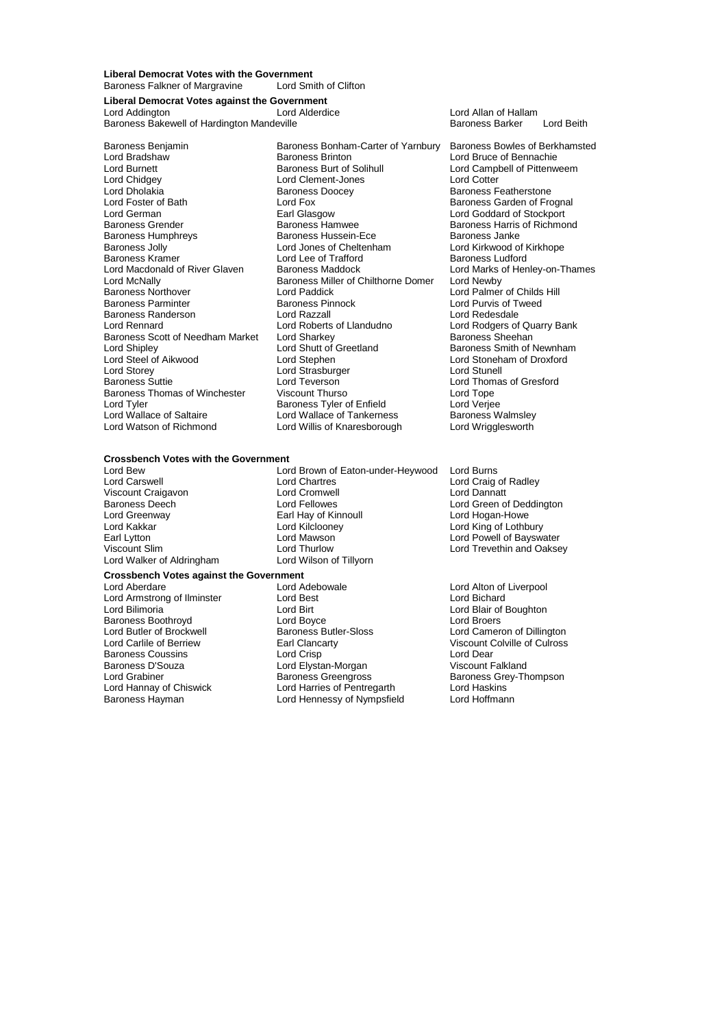**Liberal Democrat Votes with the Government** Baroness Falkner of Margravine

**Liberal Democrat Votes against the Government**

Baroness Bakewell of Hardington Mandeville **Baroness Barker Lord Beith** Baroness Barker Lord Beith

Lord Chidgey Lord Clement-Jones Lord Cotter Baroness Kramer Lord Lee of Trafford<br>Lord Macdonald of River Glaven Baroness Maddock Lord McNally **Baroness Miller of Chilthorne Domer**<br>Baroness Northover **Baroness Lord Paddick** Baroness Randerson **Lord Razzall**<br> **Lord Rennard** Lord Roberts of Llandudno Baroness Scott of Needham Market Lord Sharkey<br>Lord Shipley Lord Shutt of Greetland Lord Storey Lord Strasburger<br>
Baroness Suttie<br>
Lord Teverson

Baroness Benjamin Baroness Bonham-Carter of Yarnbury Baroness Bowles of Berkhamsted<br>Lord Bradshaw Baroness Brinton Lord Bruce of Bennachie Lord Bradshaw **Baroness Brinton Lord Bruce of Bennachie**<br>
Lord Burnett **Baroness Burt of Solihull** Lord Campbell of Pittenw Lord Burnett **Baroness Burt of Solihull** Lord Campbell of Pittenweem<br>
Lord Chidgey **Collect Lord Clement-Jones** Lord Cotter Lord Dholakia **Baroness Doocey** Baroness Peatherstone<br>
Lord Foster of Bath **Baroness Carden Containst Containers** Baroness Garden of Fro Lord Foster of Bath **Lord Fox** Lord Fox **Baroness Garden of Frognal**<br>
Example and Garman Earl Glasgow **Baroness Contract Contract Contract Contract Contract Contract Contract Contract Contract Contract Contract Contract Co** Lord German Earl Glasgow Lord Goddard of Stockport Baroness Hamwee Baroness Harris of Richmond<br>Baroness Hussein-Ece Baroness Janke Baroness Humphreys **Baroness Hussein-Ece** Baroness Janke<br>Baroness Jolly **Baroness Hussein-Ece** Baroness Janke Baroness Jolly **Lord Jones of Cheltenham Lord Kirkwood of Algebra Lord Lee of Trafford Baroness Ludford** Lord Macdonald of River Glaven Baroness Maddock Lord Marks of Henley-on-Thames<br>Lord McNally Lord Mewby Lord Paddick Lord Palmer of Childs Hill<br>Baroness Pinnock Lord Purvis of Tweed Baroness Parminter **Baroness Pinnock** Lord Purvis of Type Theorem Baroness Pinnock Lord Purvis of Type Baroness Pinnock Lord Redesdale Lord Roberts of Llandudno<br>
Lord Sharkey<br>
Baroness Sheehan<br>
Baroness Sheehan Lord Shipley Lord Shutt of Greetland Baroness Smith of Newnham<br>
Lord Steel of Aikwood Lord Stephen Lord Stephen<br>
Lord Stoneham of Droxford Lord Steel of Aikwood Lord Stephen Lord Stoneham of Droxford Lord Teverson Lord Thomas of Gresford<br>
Viscount Thurso Lord Tope<br>
Lord Tope Baroness Thomas of Winchester Viscount Thurso Correspondent Lord Tope<br>
Lord Tyler Correspondent Baroness Tyler of Enfield Lord Veriee Lord Tyler Cord Tyler Cord Verjee<br>
Lord Wallace of Saltaire Lord Wallace of Tankerness<br>
Lord Wallace of Tankerness<br>
Baroness Walmslev Lord Wallace of Saltaire Lord Wallace of Tankerness Baroness Walmsley<br>Lord Watson of Richmond Lord Willis of Knaresborough Lord Wrigglesworth Lord Willis of Knaresborough

Lord Allan of Hallam<br>Baroness Barker

### **Crossbench Votes with the Government**

Viscount Craigavon Lord Cromwell<br>
Baroness Deech<br>
Lord Fellowes Lord Greenway **Earl Hay of Kinnoull**<br>
Lord Kakkar **Earl Howele Lord Kilclooney** Lord Walker of Aldringham

## **Crossbench Votes against the Government**

Lord Armstrong of Ilminster Lord Best Lord Birt<br>
Lord Bilimoria by Lord Birt Baroness Boothroyd<br>
Lord Butler of Brockwell<br>
Baroness Butler-Sloss Baroness D'Souza Lord Elystan-Morgan Viscount Falkland

Lord Bew Lord Brown of Eaton-under-Heywood Lord Burns Lord Chartres **Lord Craig of Radley**<br>
Lord Cromwell **Lord Dannatt** Baroness Deech **Lord Fellowes** Lord Creen of Deddington<br>
Lord Greenway **Lord Creenway** Earl Hay of Kinnoull Lord Lord Hogan-Howe Lord Kakkar Lord Kilclooney Lord King of Lothbury Earl Lytton Lord Mawson Lord Powell of Bayswater Lord Thurlow Lord Trevethin and Oaksey<br>
Lord Wilson of Tillyorn

Lord Aberdare Lord Adebowale Lord Alton of Liverpool Lord Birt **Lord Bilimoria Lord Blair of Boughton**<br>
Lord Brove Lord Broers Lord Butler of Brockwell **Baroness Butler-Sloss** Lord Cameron of Dillington<br>
Lord Carlile of Berriew **Earl Clancarty** Earl Clancarty Viscount Colville of Culross Earl Clancarty **Carlise Carlise Carlise Colville Carlies Colville Collection**<br>
Lord Crisp<br>
Lord Dear Baroness Coussins Lord Crisp Lord Dear Lord Grabiner **Baroness Greengross** Baroness Greengross Baroness Grey-Thompson<br>
Lord Hannay of Chiswick **Baroness Creengross** Baroness Grey-Thompson Lord Hannay of Chiswick Lord Harries of Pentregarth Lord Haskins Lord Hennessy of Nympsfield